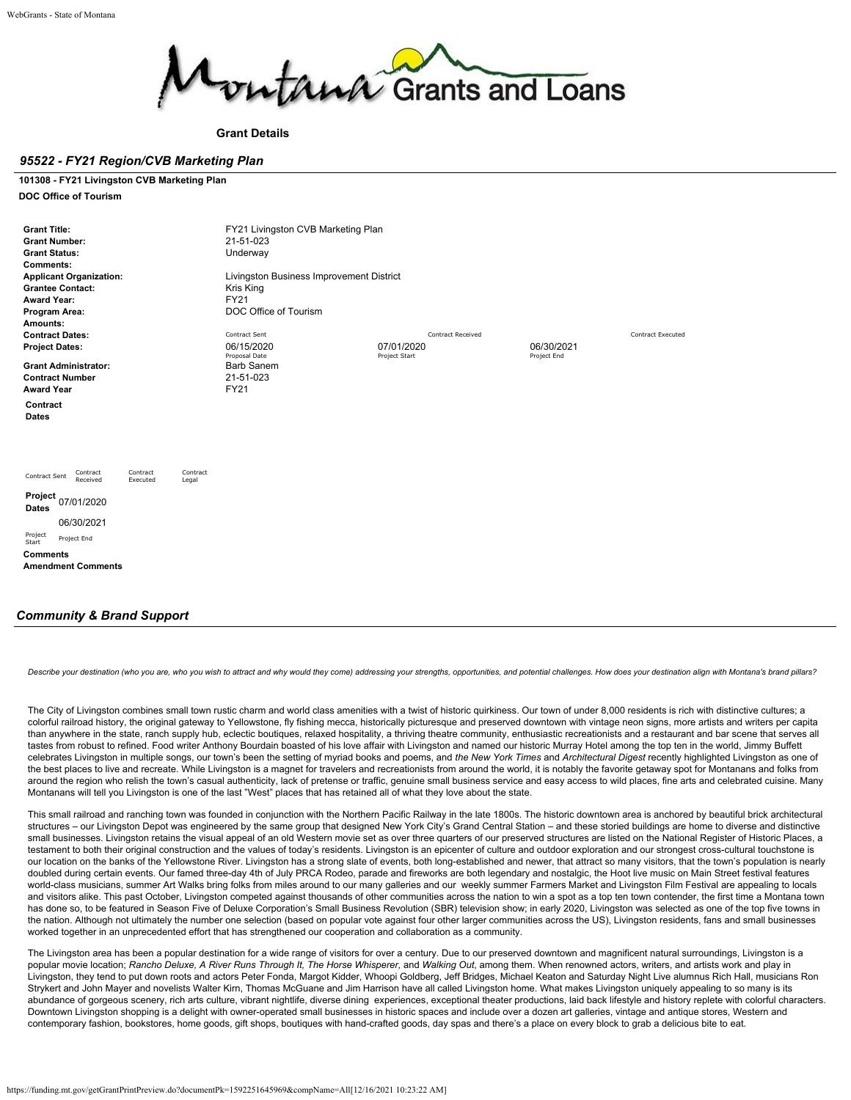

**Grant Details**

## *95522 - FY21 Region/CVB Marketing Plan*

**101308 - FY21 Livingston CVB Marketing Plan DOC Office of Tourism**

| <b>Grant Title:</b><br><b>Grant Number:</b><br><b>Grant Status:</b><br><b>Comments:</b><br><b>Applicant Organization:</b><br><b>Grantee Contact:</b><br><b>Award Year:</b><br>Program Area: | FY21 Livingston CVB Marketing Plan<br>21-51-023<br>Underway<br>Livingston Business Improvement District<br>Kris King<br><b>FY21</b><br>DOC Office of Tourism |                             |                           |                          |  |  |  |
|---------------------------------------------------------------------------------------------------------------------------------------------------------------------------------------------|--------------------------------------------------------------------------------------------------------------------------------------------------------------|-----------------------------|---------------------------|--------------------------|--|--|--|
| Amounts:                                                                                                                                                                                    |                                                                                                                                                              |                             |                           |                          |  |  |  |
| <b>Contract Dates:</b>                                                                                                                                                                      | Contract Sent                                                                                                                                                | <b>Contract Received</b>    |                           | <b>Contract Executed</b> |  |  |  |
| <b>Project Dates:</b>                                                                                                                                                                       | 06/15/2020<br>Proposal Date                                                                                                                                  | 07/01/2020<br>Project Start | 06/30/2021<br>Project End |                          |  |  |  |
| <b>Grant Administrator:</b>                                                                                                                                                                 | <b>Barb Sanem</b>                                                                                                                                            |                             |                           |                          |  |  |  |
| <b>Contract Number</b>                                                                                                                                                                      | 21-51-023                                                                                                                                                    |                             |                           |                          |  |  |  |
| <b>Award Year</b>                                                                                                                                                                           | <b>FY21</b>                                                                                                                                                  |                             |                           |                          |  |  |  |
| Contract<br>Dates                                                                                                                                                                           |                                                                                                                                                              |                             |                           |                          |  |  |  |
| Contract<br>Contract<br>Contract<br>Contract Sent<br>Received<br>Executed<br>Legal                                                                                                          |                                                                                                                                                              |                             |                           |                          |  |  |  |
| Project 07/01/2020<br><b>Dates</b>                                                                                                                                                          |                                                                                                                                                              |                             |                           |                          |  |  |  |
| 06/30/2021                                                                                                                                                                                  |                                                                                                                                                              |                             |                           |                          |  |  |  |
| Project<br>Project End<br>Start                                                                                                                                                             |                                                                                                                                                              |                             |                           |                          |  |  |  |
| <b>Comments</b>                                                                                                                                                                             |                                                                                                                                                              |                             |                           |                          |  |  |  |
| <b>Amendment Comments</b>                                                                                                                                                                   |                                                                                                                                                              |                             |                           |                          |  |  |  |
|                                                                                                                                                                                             |                                                                                                                                                              |                             |                           |                          |  |  |  |

## *Community & Brand Support*

Describe vour destination (who vou are, who vou wish to attract and why would they come) addressing your strengths, opportunities, and potential challenges. How does your destination align with Montana's brand pillars?

The City of Livingston combines small town rustic charm and world class amenities with a twist of historic quirkiness. Our town of under 8,000 residents is rich with distinctive cultures; a colorful railroad history, the original gateway to Yellowstone, fly fishing mecca, historically picturesque and preserved downtown with vintage neon signs, more artists and writers per capita than anywhere in the state, ranch supply hub, eclectic boutiques, relaxed hospitality, a thriving theatre community, enthusiastic recreationists and a restaurant and bar scene that serves all tastes from robust to refined. Food writer Anthony Bourdain boasted of his love affair with Livingston and named our historic Murray Hotel among the top ten in the world, Jimmy Buffett celebrates Livingston in multiple songs, our town's been the setting of myriad books and poems, and *the New York Times* and *Architectural Digest* recently highlighted Livingston as one of the best places to live and recreate. While Livingston is a magnet for travelers and recreationists from around the world, it is notably the favorite getaway spot for Montanans and folks from around the region who relish the town's casual authenticity, lack of pretense or traffic, genuine small business service and easy access to wild places, fine arts and celebrated cuisine. Many Montanans will tell you Livingston is one of the last "West" places that has retained all of what they love about the state.

This small railroad and ranching town was founded in conjunction with the Northern Pacific Railway in the late 1800s. The historic downtown area is anchored by beautiful brick architectural structures – our Livingston Depot was engineered by the same group that designed New York City's Grand Central Station – and these storied buildings are home to diverse and distinctive small businesses. Livingston retains the visual appeal of an old Western movie set as over three quarters of our preserved structures are listed on the National Register of Historic Places, a testament to both their original construction and the values of today's residents. Livingston is an epicenter of culture and outdoor exploration and our strongest cross-cultural touchstone is our location on the banks of the Yellowstone River. Livingston has a strong slate of events, both long-established and newer, that attract so many visitors, that the town's population is nearly doubled during certain events. Our famed three-day 4th of July PRCA Rodeo, parade and fireworks are both legendary and nostalgic, the Hoot live music on Main Street festival features world-class musicians, summer Art Walks bring folks from miles around to our many galleries and our weekly summer Farmers Market and Livingston Film Festival are appealing to locals and visitors alike. This past October, Livingston competed against thousands of other communities across the nation to win a spot as a top ten town contender, the first time a Montana town has done so, to be featured in Season Five of Deluxe Corporation's Small Business Revolution (SBR) television show; in early 2020, Livingston was selected as one of the top five towns in the nation. Although not ultimately the number one selection (based on popular vote against four other larger communities across the US), Livingston residents, fans and small businesses worked together in an unprecedented effort that has strengthened our cooperation and collaboration as a community.

The Livingston area has been a popular destination for a wide range of visitors for over a century. Due to our preserved downtown and magnificent natural surroundings, Livingston is a popular movie location; Rancho Deluxe, A River Runs Through It, The Horse Whisperer, and Walking Out, among them. When renowned actors, writers, and artists work and play in Livingston, they tend to put down roots and actors Peter Fonda, Margot Kidder, Whoopi Goldberg, Jeff Bridges, Michael Keaton and Saturday Night Live alumnus Rich Hall, musicians Ron Strykert and John Mayer and novelists Walter Kirn, Thomas McGuane and Jim Harrison have all called Livingston home. What makes Livingston uniquely appealing to so many is its abundance of gorgeous scenery, rich arts culture, vibrant nightlife, diverse dining experiences, exceptional theater productions, laid back lifestyle and history replete with colorful characters. Downtown Livingston shopping is a delight with owner-operated small businesses in historic spaces and include over a dozen art galleries, vintage and antique stores, Western and contemporary fashion, bookstores, home goods, gift shops, boutiques with hand-crafted goods, day spas and there's a place on every block to grab a delicious bite to eat.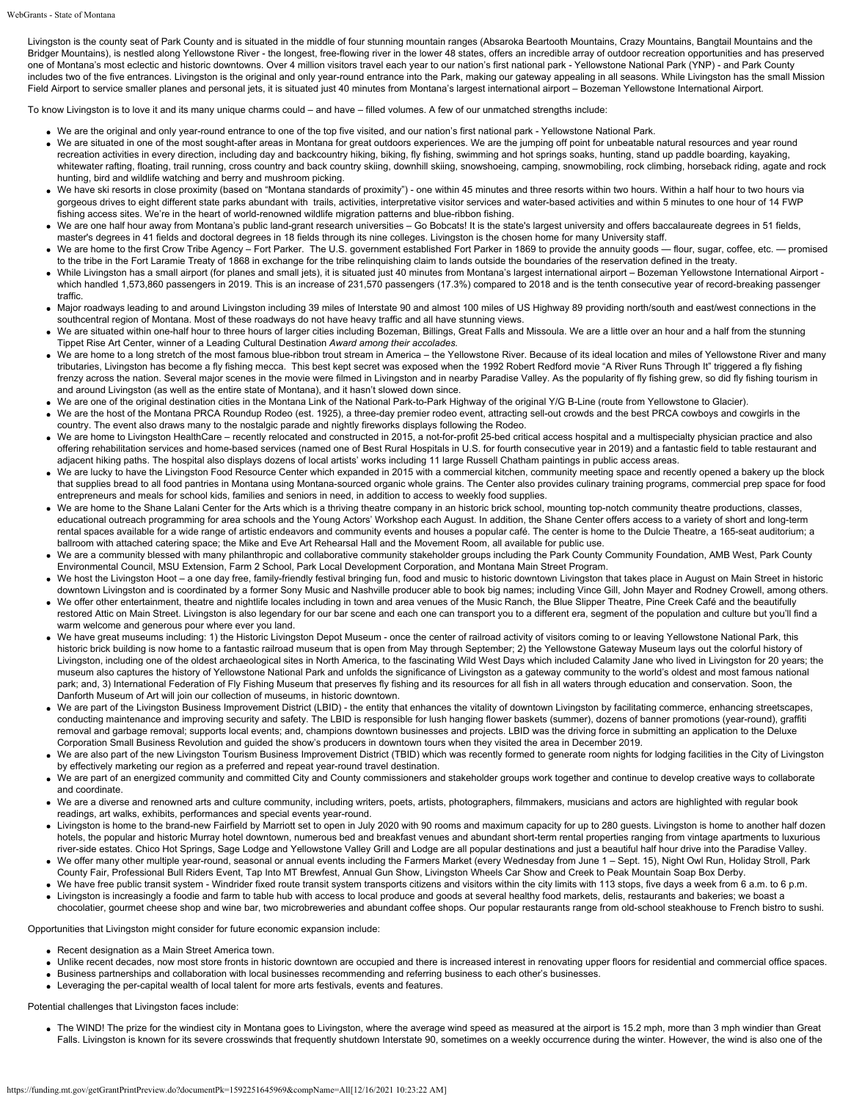Livingston is the county seat of Park County and is situated in the middle of four stunning mountain ranges (Absaroka Beartooth Mountains, Crazy Mountains, Bangtail Mountains and the Bridger Mountains), is nestled along Yellowstone River - the longest, free-flowing river in the lower 48 states, offers an incredible array of outdoor recreation opportunities and has preserved one of Montana's most eclectic and historic downtowns. Over 4 million visitors travel each year to our nation's first national park - Yellowstone National Park (YNP) - and Park County includes two of the five entrances. Livingston is the original and only year-round entrance into the Park, making our gateway appealing in all seasons. While Livingston has the small Mission Field Airport to service smaller planes and personal jets, it is situated just 40 minutes from Montana's largest international airport – Bozeman Yellowstone International Airport.

To know Livingston is to love it and its many unique charms could – and have – filled volumes. A few of our unmatched strengths include:

- We are the original and only year-round entrance to one of the top five visited, and our nation's first national park Yellowstone National Park.
- We are situated in one of the most sought-after areas in Montana for great outdoors experiences. We are the jumping off point for unbeatable natural resources and year round recreation activities in every direction, including day and backcountry hiking, biking, fly fishing, swimming and hot springs soaks, hunting, stand up paddle boarding, kayaking, whitewater rafting, floating, trail running, cross country and back country skiing, downhill skiing, snowshoeing, camping, snowmobiling, rock climbing, horseback riding, agate and rock hunting, bird and wildlife watching and berry and mushroom picking.
- We have ski resorts in close proximity (based on "Montana standards of proximity") one within 45 minutes and three resorts within two hours. Within a half hour to two hours via gorgeous drives to eight different state parks abundant with trails, activities, interpretative visitor services and water-based activities and within 5 minutes to one hour of 14 FWP fishing access sites. We're in the heart of world-renowned wildlife migration patterns and blue-ribbon fishing.
- We are one half hour away from Montana's public land-grant research universities Go Bobcats! It is the state's largest university and offers baccalaureate degrees in 51 fields, master's degrees in 41 fields and doctoral degrees in 18 fields through its nine colleges. Livingston is the chosen home for many University staff.
- We are home to the first Crow Tribe Agency Fort Parker. The U.S. government established Fort Parker in 1869 to provide the annuity goods flour, sugar, coffee, etc. promised to the tribe in the Fort Laramie Treaty of 1868 in exchange for the tribe relinquishing claim to lands outside the boundaries of the reservation defined in the treaty.
- While Livingston has a small airport (for planes and small jets), it is situated just 40 minutes from Montana's largest international airport Bozeman Yellowstone International Airport which handled 1,573,860 passengers in 2019. This is an increase of 231,570 passengers (17.3%) compared to 2018 and is the tenth consecutive year of record-breaking passenger traffic.
- Major roadways leading to and around Livingston including 39 miles of Interstate 90 and almost 100 miles of US Highway 89 providing north/south and east/west connections in the southcentral region of Montana. Most of these roadways do not have heavy traffic and all have stunning views.
- We are situated within one-half hour to three hours of larger cities including Bozeman, Billings, Great Falls and Missoula. We are a little over an hour and a half from the stunning Tippet Rise Art Center, winner of a Leading Cultural Destination *Award among their accolades.*
- We are home to a long stretch of the most famous blue-ribbon trout stream in America the Yellowstone River. Because of its ideal location and miles of Yellowstone River and many tributaries, Livingston has become a fly fishing mecca. This best kept secret was exposed when the 1992 Robert Redford movie "A River Runs Through It" triggered a fly fishing frenzy across the nation. Several major scenes in the movie were filmed in Livingston and in nearby Paradise Valley. As the popularity of fly fishing grew, so did fly fishing tourism in and around Livingston (as well as the entire state of Montana), and it hasn't slowed down since.
- We are one of the original destination cities in the Montana Link of the National Park-to-Park Highway of the original Y/G B-Line (route from Yellowstone to Glacier).
- We are the host of the Montana PRCA Roundup Rodeo (est. 1925), a three-day premier rodeo event, attracting sell-out crowds and the best PRCA cowboys and cowgirls in the country. The event also draws many to the nostalgic parade and nightly fireworks displays following the Rodeo.
- We are home to Livingston HealthCare recently relocated and constructed in 2015, a not-for-profit 25-bed critical access hospital and a multispecialty physician practice and also offering rehabilitation services and home-based services (named one of Best Rural Hospitals in U.S. for fourth consecutive year in 2019) and a fantastic field to table restaurant and adjacent hiking paths. The hospital also displays dozens of local artists' works including 11 large Russell Chatham paintings in public access areas.
- We are lucky to have the Livingston Food Resource Center which expanded in 2015 with a commercial kitchen, community meeting space and recently opened a bakery up the block that supplies bread to all food pantries in Montana using Montana-sourced organic whole grains. The Center also provides culinary training programs, commercial prep space for food entrepreneurs and meals for school kids, families and seniors in need, in addition to access to weekly food supplies.
- We are home to the Shane Lalani Center for the Arts which is a thriving theatre company in an historic brick school, mounting top-notch community theatre productions, classes, educational outreach programming for area schools and the Young Actors' Workshop each August. In addition, the Shane Center offers access to a variety of short and long-term rental spaces available for a wide range of artistic endeavors and community events and houses a popular café. The center is home to the Dulcie Theatre, a 165-seat auditorium; a ballroom with attached catering space; the Mike and Eve Art Rehearsal Hall and the Movement Room, all available for public use.
- We are a community blessed with many philanthropic and collaborative community stakeholder groups including the Park County Community Foundation, AMB West, Park County Environmental Council, MSU Extension, Farm 2 School, Park Local Development Corporation, and Montana Main Street Program.
- We host the Livingston Hoot a one day free, family-friendly festival bringing fun, food and music to historic downtown Livingston that takes place in August on Main Street in historic downtown Livingston and is coordinated by a former Sony Music and Nashville producer able to book big names; including Vince Gill, John Mayer and Rodney Crowell, among others.
- We offer other entertainment, theatre and nightlife locales including in town and area venues of the Music Ranch, the Blue Slipper Theatre, Pine Creek Café and the beautifully restored Attic on Main Street. Livingston is also legendary for our bar scene and each one can transport you to a different era, segment of the population and culture but you'll find a warm welcome and generous pour where ever you land.
- We have great museums including: 1) the Historic Livingston Depot Museum once the center of railroad activity of visitors coming to or leaving Yellowstone National Park, this historic brick building is now home to a fantastic railroad museum that is open from May through September; 2) the Yellowstone Gateway Museum lays out the colorful history of Livingston, including one of the oldest archaeological sites in North America, to the fascinating Wild West Days which included Calamity Jane who lived in Livingston for 20 years; the museum also captures the history of Yellowstone National Park and unfolds the significance of Livingston as a gateway community to the world's oldest and most famous national park; and, 3) International Federation of Fly Fishing Museum that preserves fly fishing and its resources for all fish in all waters through education and conservation. Soon, the Danforth Museum of Art will join our collection of museums, in historic downtown.
- We are part of the Livingston Business Improvement District (LBID) the entity that enhances the vitality of downtown Livingston by facilitating commerce, enhancing streetscapes, conducting maintenance and improving security and safety. The LBID is responsible for lush hanging flower baskets (summer), dozens of banner promotions (year-round), graffiti removal and garbage removal; supports local events; and, champions downtown businesses and projects. LBID was the driving force in submitting an application to the Deluxe Corporation Small Business Revolution and guided the show's producers in downtown tours when they visited the area in December 2019.
- We are also part of the new Livingston Tourism Business Improvement District (TBID) which was recently formed to generate room nights for lodging facilities in the City of Livingston by effectively marketing our region as a preferred and repeat year-round travel destination.
- We are part of an energized community and committed City and County commissioners and stakeholder groups work together and continue to develop creative ways to collaborate and coordinate.
- We are a diverse and renowned arts and culture community, including writers, poets, artists, photographers, filmmakers, musicians and actors are highlighted with regular book readings, art walks, exhibits, performances and special events year-round.
- Livingston is home to the brand-new Fairfield by Marriott set to open in July 2020 with 90 rooms and maximum capacity for up to 280 guests. Livingston is home to another half dozen hotels, the popular and historic Murray hotel downtown, numerous bed and breakfast venues and abundant short-term rental properties ranging from vintage apartments to luxurious river-side estates. Chico Hot Springs, Sage Lodge and Yellowstone Valley Grill and Lodge are all popular destinations and just a beautiful half hour drive into the Paradise Valley.
- We offer many other multiple year-round, seasonal or annual events including the Farmers Market (every Wednesday from June 1 Sept. 15), Night Owl Run, Holiday Stroll, Park County Fair, Professional Bull Riders Event, Tap Into MT Brewfest, Annual Gun Show, Livingston Wheels Car Show and Creek to Peak Mountain Soap Box Derby.
- We have free public transit system Windrider fixed route transit system transports citizens and visitors within the city limits with 113 stops, five days a week from 6 a.m. to 6 p.m. Livingston is increasingly a foodie and farm to table hub with access to local produce and goods at several healthy food markets, delis, restaurants and bakeries; we boast a
- chocolatier, gourmet cheese shop and wine bar, two microbreweries and abundant coffee shops. Our popular restaurants range from old-school steakhouse to French bistro to sushi.

## Opportunities that Livingston might consider for future economic expansion include:

- Recent designation as a Main Street America town.
- Unlike recent decades, now most store fronts in historic downtown are occupied and there is increased interest in renovating upper floors for residential and commercial office spaces. Business partnerships and collaboration with local businesses recommending and referring business to each other's businesses.
- Leveraging the per-capital wealth of local talent for more arts festivals, events and features.

Potential challenges that Livingston faces include:

• The WIND! The prize for the windiest city in Montana goes to Livingston, where the average wind speed as measured at the airport is 15.2 mph, more than 3 mph windier than Great Falls. Livingston is known for its severe crosswinds that frequently shutdown Interstate 90, sometimes on a weekly occurrence during the winter. However, the wind is also one of the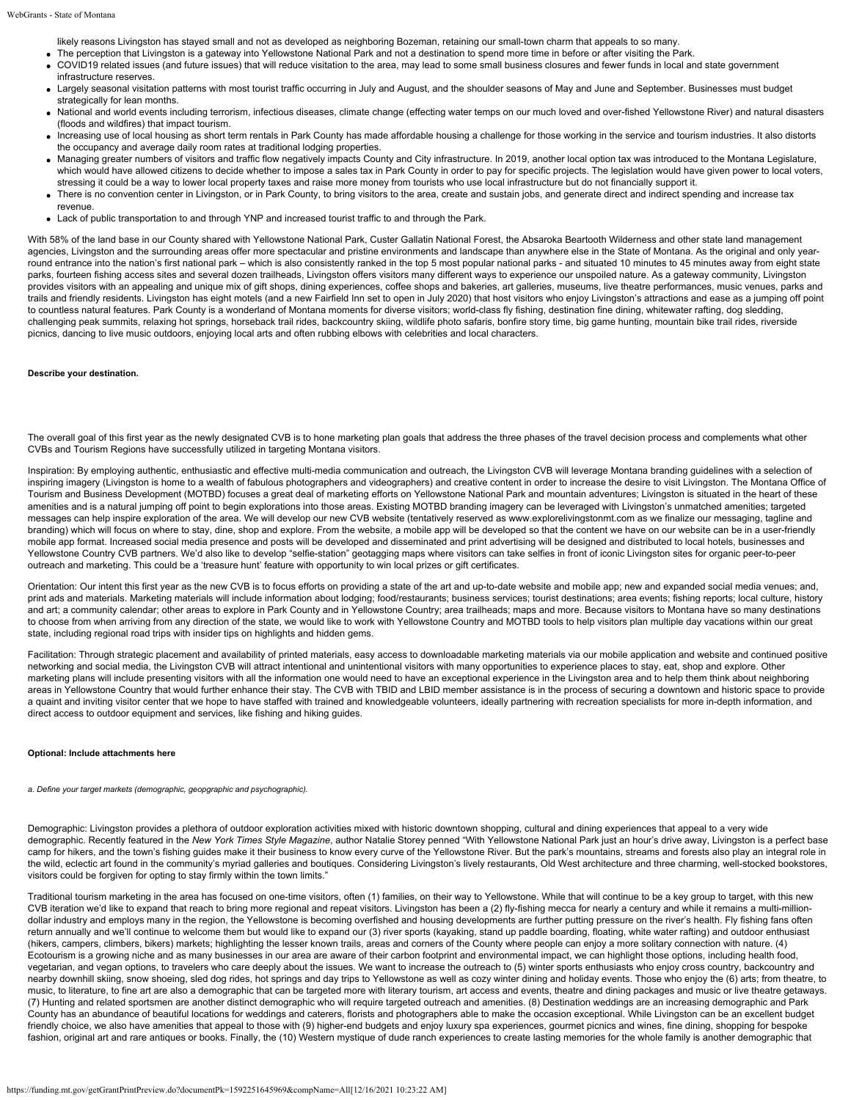likely reasons Livingston has stayed small and not as developed as neighboring Bozeman, retaining our small-town charm that appeals to so many.

- The perception that Livingston is a gateway into Yellowstone National Park and not a destination to spend more time in before or after visiting the Park.
- COVID19 related issues (and future issues) that will reduce visitation to the area, may lead to some small business closures and fewer funds in local and state government infrastructure reserves.
- Largely seasonal visitation patterns with most tourist traffic occurring in July and August, and the shoulder seasons of May and June and September. Businesses must budget strategically for lean months.
- National and world events including terrorism, infectious diseases, climate change (effecting water temps on our much loved and over-fished Yellowstone River) and natural disasters (floods and wildfires) that impact tourism.
- Increasing use of local housing as short term rentals in Park County has made affordable housing a challenge for those working in the service and tourism industries. It also distorts the occupancy and average daily room rates at traditional lodging properties.
- Managing greater numbers of visitors and traffic flow negatively impacts County and City infrastructure. In 2019, another local option tax was introduced to the Montana Legislature, which would have allowed citizens to decide whether to impose a sales tax in Park County in order to pay for specific projects. The legislation would have given power to local voters, stressing it could be a way to lower local property taxes and raise more money from tourists who use local infrastructure but do not financially support it.
- There is no convention center in Livingston, or in Park County, to bring visitors to the area, create and sustain jobs, and generate direct and indirect spending and increase tax revenue.
- Lack of public transportation to and through YNP and increased tourist traffic to and through the Park.

With 58% of the land base in our County shared with Yellowstone National Park, Custer Gallatin National Forest, the Absaroka Beartooth Wilderness and other state land management agencies, Livingston and the surrounding areas offer more spectacular and pristine environments and landscape than anywhere else in the State of Montana. As the original and only yearround entrance into the nation's first national park - which is also consistently ranked in the top 5 most popular national parks - and situated 10 minutes to 45 minutes away from eight state parks, fourteen fishing access sites and several dozen trailheads, Livingston offers visitors many different ways to experience our unspoiled nature. As a gateway community, Livingston provides visitors with an appealing and unique mix of gift shops, dining experiences, coffee shops and bakeries, art galleries, museums, live theatre performances, music venues, parks and trails and friendly residents. Livingston has eight motels (and a new Fairfield Inn set to open in July 2020) that host visitors who enjoy Livingston's attractions and ease as a jumping off point to countless natural features. Park County is a wonderland of Montana moments for diverse visitors; world-class fly fishing, destination fine dining, whitewater rafting, dog sledding, challenging peak summits, relaxing hot springs, horseback trail rides, backcountry skiing, wildlife photo safaris, bonfire story time, big game hunting, mountain bike trail rides, riverside picnics, dancing to live music outdoors, enjoying local arts and often rubbing elbows with celebrities and local characters.

#### **Describe your destination.**

The overall goal of this first year as the newly designated CVB is to hone marketing plan goals that address the three phases of the travel decision process and complements what other CVBs and Tourism Regions have successfully utilized in targeting Montana visitors.

Inspiration: By employing authentic, enthusiastic and effective multi-media communication and outreach, the Livingston CVB will leverage Montana branding quidelines with a selection of inspiring imagery (Livingston is home to a wealth of fabulous photographers and videographers) and creative content in order to increase the desire to visit Livingston. The Montana Office of Tourism and Business Development (MOTBD) focuses a great deal of marketing efforts on Yellowstone National Park and mountain adventures; Livingston is situated in the heart of these amenities and is a natural jumping off point to begin explorations into those areas. Existing MOTBD branding imagery can be leveraged with Livingston's unmatched amenities; targeted messages can help inspire exploration of the area. We will develop our new CVB website (tentatively reserved as [www.explorelivingstonmt.com](http://www.explorelivingstonmt.com/) as we finalize our messaging, tagline and branding) which will focus on where to stay, dine, shop and explore. From the website, a mobile app will be developed so that the content we have on our website can be in a user-friendly mobile app format. Increased social media presence and posts will be developed and disseminated and print advertising will be designed and distributed to local hotels, businesses and Yellowstone Country CVB partners. We'd also like to develop "selfie-station" geotagging maps where visitors can take selfies in front of iconic Livingston sites for organic peer-to-peer outreach and marketing. This could be a 'treasure hunt' feature with opportunity to win local prizes or gift certificates.

Orientation: Our intent this first year as the new CVB is to focus efforts on providing a state of the art and up-to-date website and mobile app; new and expanded social media venues; and, print ads and materials. Marketing materials will include information about lodging; food/restaurants; business services; tourist destinations; area events; fishing reports; local culture, history .<br>and art; a community calendar; other areas to explore in Park County and in Yellowstone Country; area trailheads; maps and more. Because visitors to Montana have so many destinations to choose from when arriving from any direction of the state, we would like to work with Yellowstone Country and MOTBD tools to help visitors plan multiple day vacations within our great state, including regional road trips with insider tips on highlights and hidden gems.

Facilitation: Through strategic placement and availability of printed materials, easy access to downloadable marketing materials via our mobile application and website and continued positive networking and social media, the Livingston CVB will attract intentional and unintentional visitors with many opportunities to experience places to stay, eat, shop and explore. Other marketing plans will include presenting visitors with all the information one would need to have an exceptional experience in the Livingston area and to help them think about neighboring areas in Yellowstone Country that would further enhance their stay. The CVB with TBID and LBID member assistance is in the process of securing a downtown and historic space to provide a quaint and inviting visitor center that we hope to have staffed with trained and knowledgeable volunteers, ideally partnering with recreation specialists for more in-depth information, and direct access to outdoor equipment and services, like fishing and hiking guides.

#### **Optional: Include attachments here**

*a. Define your target markets (demographic, geopgraphic and psychographic).*

Demographic: Livingston provides a plethora of outdoor exploration activities mixed with historic downtown shopping, cultural and dining experiences that appeal to a very wide demographic. Recently featured in the *New York Times Style Magazine*, author Natalie Storey penned "With Yellowstone National Park just an hour's drive away, Livingston is a perfect base camp for hikers, and the town's fishing guides make it their business to know every curve of the Yellowstone River. But the park's mountains, streams and forests also play an integral role in the wild, eclectic art found in the community's myriad galleries and boutiques. Considering Livingston's lively restaurants, Old West architecture and three charming, well-stocked bookstores, visitors could be forgiven for opting to stay firmly within the town limits."

Traditional tourism marketing in the area has focused on one-time visitors, often (1) families, on their way to Yellowstone. While that will continue to be a key group to target, with this new CVB iteration we'd like to expand that reach to bring more regional and repeat visitors. Livingston has been a (2) fly-fishing mecca for nearly a century and while it remains a multi-milliondollar industry and employs many in the region, the Yellowstone is becoming overfished and housing developments are further putting pressure on the river's health. Fly fishing fans often return annually and we'll continue to welcome them but would like to expand our (3) river sports (kayaking, stand up paddle boarding, floating, white water rafting) and outdoor enthusiast (hikers, campers, climbers, bikers) markets; highlighting the lesser known trails, areas and corners of the County where people can enjoy a more solitary connection with nature. (4) Ecotourism is a growing niche and as many businesses in our area are aware of their carbon footprint and environmental impact, we can highlight those options, including health food, vegetarian, and vegan options, to travelers who care deeply about the issues. We want to increase the outreach to (5) winter sports enthusiasts who enjoy cross country, backcountry and nearby downhill skiing, snow shoeing, sled dog rides, hot springs and day trips to Yellowstone as well as cozy winter dining and holiday events. Those who enjoy the (6) arts; from theatre, to music, to literature, to fine art are also a demographic that can be targeted more with literary tourism, art access and events, theatre and dining packages and music or live theatre getaways. (7) Hunting and related sportsmen are another distinct demographic who will require targeted outreach and amenities. (8) Destination weddings are an increasing demographic and Park County has an abundance of beautiful locations for weddings and caterers, florists and photographers able to make the occasion exceptional. While Livingston can be an excellent budget friendly choice, we also have amenities that appeal to those with (9) higher-end budgets and enjoy luxury spa experiences, gourmet picnics and wines, fine dining, shopping for bespoke fashion, original art and rare antiques or books. Finally, the (10) Western mystique of dude ranch experiences to create lasting memories for the whole family is another demographic that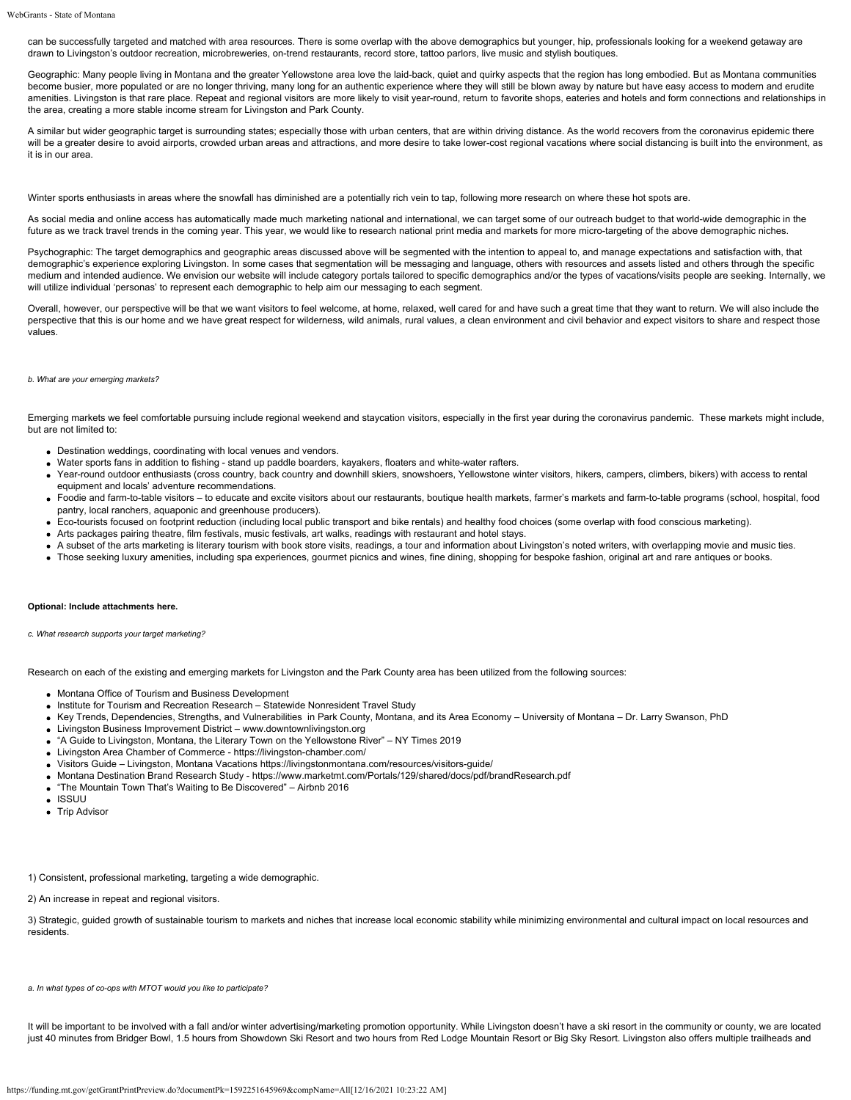can be successfully targeted and matched with area resources. There is some overlap with the above demographics but younger, hip, professionals looking for a weekend getaway are drawn to Livingston's outdoor recreation, microbreweries, on-trend restaurants, record store, tattoo parlors, live music and stylish boutiques.

Geographic: Many people living in Montana and the greater Yellowstone area love the laid-back, quiet and quirky aspects that the region has long embodied. But as Montana communities become busier, more populated or are no longer thriving, many long for an authentic experience where they will still be blown away by nature but have easy access to modern and erudite amenities. Livingston is that rare place. Repeat and regional visitors are more likely to visit year-round, return to favorite shops, eateries and hotels and form connections and relationships in the area, creating a more stable income stream for Livingston and Park County.

A similar but wider geographic target is surrounding states; especially those with urban centers, that are within driving distance. As the world recovers from the coronavirus epidemic there will be a greater desire to avoid airports, crowded urban areas and attractions, and more desire to take lower-cost regional vacations where social distancing is built into the environment, as it is in our area.

Winter sports enthusiasts in areas where the snowfall has diminished are a potentially rich vein to tap, following more research on where these hot spots are.

As social media and online access has automatically made much marketing national and international, we can target some of our outreach budget to that world-wide demographic in the future as we track travel trends in the coming year. This year, we would like to research national print media and markets for more micro-targeting of the above demographic niches.

Psychographic: The target demographics and geographic areas discussed above will be segmented with the intention to appeal to, and manage expectations and satisfaction with, that demographic's experience exploring Livingston. In some cases that segmentation will be messaging and language, others with resources and assets listed and others through the specific medium and intended audience. We envision our website will include category portals tailored to specific demographics and/or the types of vacations/visits people are seeking. Internally, we will utilize individual 'personas' to represent each demographic to help aim our messaging to each segment.

Overall, however, our perspective will be that we want visitors to feel welcome, at home, relaxed, well cared for and have such a great time that they want to return. We will also include the perspective that this is our home and we have great respect for wilderness, wild animals, rural values, a clean environment and civil behavior and expect visitors to share and respect those values.

#### *b. What are your emerging markets?*

Emerging markets we feel comfortable pursuing include regional weekend and staycation visitors, especially in the first year during the coronavirus pandemic. These markets might include, but are not limited to:

- Destination weddings, coordinating with local venues and vendors.
- Water sports fans in addition to fishing stand up paddle boarders, kayakers, floaters and white-water rafters.
- Year-round outdoor enthusiasts (cross country, back country and downhill skiers, snowshoers, Yellowstone winter visitors, hikers, campers, climbers, bikers) with access to rental equipment and locals' adventure recommendations.
- Foodie and farm-to-table visitors to educate and excite visitors about our restaurants, boutique health markets, farmer's markets and farm-to-table programs (school, hospital, food pantry, local ranchers, aquaponic and greenhouse producers).
- Eco-tourists focused on footprint reduction (including local public transport and bike rentals) and healthy food choices (some overlap with food conscious marketing).
- Arts packages pairing theatre, film festivals, music festivals, art walks, readings with restaurant and hotel stays.
- A subset of the arts marketing is literary tourism with book store visits, readings, a tour and information about Livingston's noted writers, with overlapping movie and music ties.
- Those seeking luxury amenities, including spa experiences, gourmet picnics and wines, fine dining, shopping for bespoke fashion, original art and rare antiques or books.

#### **Optional: Include attachments here.**

*c. What research supports your target marketing?*

Research on each of the existing and emerging markets for Livingston and the Park County area has been utilized from the following sources:

- Montana Office of Tourism and Business Development
- Institute for Tourism and Recreation Research Statewide Nonresident Travel Study
- Key Trends, Dependencies, Strengths, and Vulnerabilities in Park County, Montana, and its Area Economy University of Montana Dr. Larry Swanson, PhD
- Livingston Business Improvement District [www.downtownlivingston.org](http://www.downtownlivingston.org/)
- "A Guide to Livingston, Montana, the Literary Town on the Yellowstone River" NY Times 2019
- Livingston Area Chamber of Commerce -<https://livingston-chamber.com/>
- Visitors Guide Livingston, Montana Vacations<https://livingstonmontana.com/resources/visitors-guide/>
- Montana Destination Brand Research Study -<https://www.marketmt.com/Portals/129/shared/docs/pdf/brandResearch.pdf>
- "The Mountain Town That's Waiting to Be Discovered" Airbnb 2016
- ISSUU
- Trip Advisor

1) Consistent, professional marketing, targeting a wide demographic.

2) An increase in repeat and regional visitors.

3) Strategic, guided growth of sustainable tourism to markets and niches that increase local economic stability while minimizing environmental and cultural impact on local resources and residents.

*a. In what types of co-ops with MTOT would you like to participate?*

It will be important to be involved with a fall and/or winter advertising/marketing promotion opportunity. While Livingston doesn't have a ski resort in the community or county, we are located just 40 minutes from Bridger Bowl, 1.5 hours from Showdown Ski Resort and two hours from Red Lodge Mountain Resort or Big Sky Resort. Livingston also offers multiple trailheads and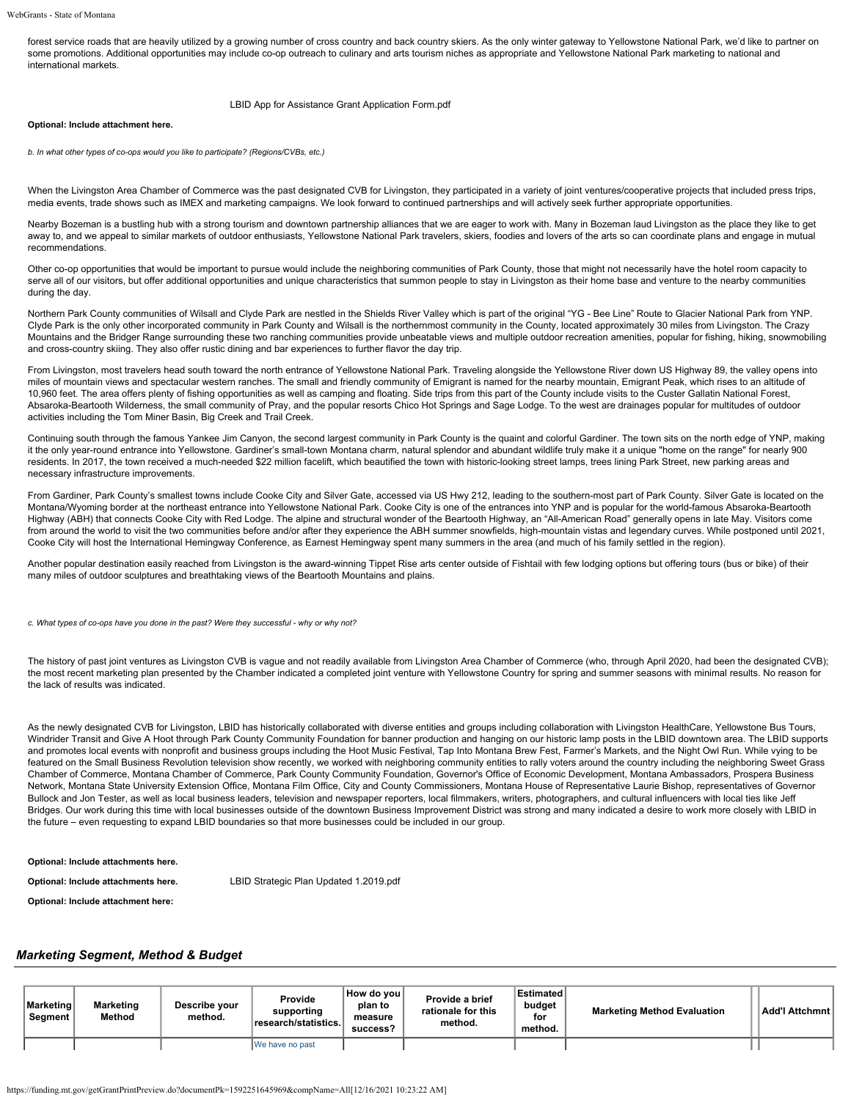forest service roads that are heavily utilized by a growing number of cross country and back country skiers. As the only winter gateway to Yellowstone National Park, we'd like to partner on some promotions. Additional opportunities may include co-op outreach to culinary and arts tourism niches as appropriate and Yellowstone National Park marketing to national and international markets.

### [LBID App for Assistance Grant Application Form.pdf](https://funding.mt.gov/fileDownload.jsp?filename=1588170317406_LBID+App+for+Assistance+Grant+Application+Form.pdf)

### **Optional: Include attachment here.**

*b. In what other types of co-ops would you like to participate? (Regions/CVBs, etc.)*

When the Livingston Area Chamber of Commerce was the past designated CVB for Livingston, they participated in a variety of joint ventures/cooperative projects that included press trips, media events, trade shows such as IMEX and marketing campaigns. We look forward to continued partnerships and will actively seek further appropriate opportunities.

Nearby Bozeman is a bustling hub with a strong tourism and downtown partnership alliances that we are eager to work with. Many in Bozeman laud Livingston as the place they like to get away to, and we appeal to similar markets of outdoor enthusiasts, Yellowstone National Park travelers, skiers, foodies and lovers of the arts so can coordinate plans and engage in mutual recommendations.

Other co-op opportunities that would be important to pursue would include the neighboring communities of Park County, those that might not necessarily have the hotel room capacity to serve all of our visitors, but offer additional opportunities and unique characteristics that summon people to stay in Livingston as their home base and venture to the nearby communities during the day.

Northern Park County communities of Wilsall and Clyde Park are nestled in the Shields River Valley which is part of the original "YG - Bee Line" Route to Glacier National Park from YNP. Clyde Park is the only other incorporated community in Park County and Wilsall is the northernmost community in the County, located approximately 30 miles from Livingston. The Crazy Mountains and the Bridger Range surrounding these two ranching communities provide unbeatable views and multiple outdoor recreation amenities, popular for fishing, hiking, snowmobiling and cross-country skiing. They also offer rustic dining and bar experiences to further flavor the day trip.

From Livingston, most travelers head south toward the north entrance of Yellowstone National Park. Traveling alongside the Yellowstone River down US Highway 89, the valley opens into miles of mountain views and spectacular western ranches. The small and friendly community of Emigrant is named for the nearby mountain, Emigrant Peak, which rises to an altitude of 10,960 feet. The area offers plenty of fishing opportunities as well as camping and floating. Side trips from this part of the County include visits to the Custer Gallatin National Forest, Absaroka-Beartooth Wilderness, the small community of Pray, and the popular resorts Chico Hot Springs and Sage Lodge. To the west are drainages popular for multitudes of outdoor activities including the Tom Miner Basin, Big Creek and Trail Creek.

Continuing south through the famous Yankee Jim Canyon, the second largest community in Park County is the quaint and colorful Gardiner. The town sits on the north edge of YNP, making it the only year-round entrance into Yellowstone. Gardiner's small-town Montana charm, natural splendor and abundant wildlife truly make it a unique "home on the range" for nearly 900 residents. In 2017, the town received a much-needed \$22 million facelift, which beautified the town with historic-looking street lamps, trees lining Park Street, new parking areas and necessary infrastructure improvements.

From Gardiner, Park County's smallest towns include Cooke City and Silver Gate, accessed via US Hwy 212, leading to the southern-most part of Park County. Silver Gate is located on the Montana/Wyoming border at the northeast entrance into Yellowstone National Park. Cooke City is one of the entrances into YNP and is popular for the world-famous Absaroka-Beartooth Highway (ABH) that connects Cooke City with Red Lodge. The alpine and structural wonder of the Beartooth Highway, an "All-American Road" generally opens in late May. Visitors come from around the world to visit the two communities before and/or after they experience the ABH summer snowfields, high-mountain vistas and legendary curves. While postponed until 2021, Cooke City will host the International Hemingway Conference, as Earnest Hemingway spent many summers in the area (and much of his family settled in the region).

Another popular destination easily reached from Livingston is the award-winning Tippet Rise arts center outside of Fishtail with few lodging options but offering tours (bus or bike) of their many miles of outdoor sculptures and breathtaking views of the Beartooth Mountains and plains.

*c. What types of co-ops have you done in the past? Were they successful - why or why not?*

The history of past ioint ventures as Livingston CVB is vague and not readily available from Livingston Area Chamber of Commerce (who, through April 2020, had been the designated CVB); the most recent marketing plan presented by the Chamber indicated a completed joint venture with Yellowstone Country for spring and summer seasons with minimal results. No reason for the lack of results was indicated.

As the newly designated CVB for Livingston, LBID has historically collaborated with diverse entities and groups including collaboration with Livingston HealthCare, Yellowstone Bus Tours, Windrider Transit and Give A Hoot through Park County Community Foundation for banner production and hanging on our historic lamp posts in the LBID downtown area. The LBID supports and promotes local events with nonprofit and business groups including the Hoot Music Festival, Tap Into Montana Brew Fest, Farmer's Markets, and the Night Owl Run. While vying to be featured on the Small Business Revolution television show recently, we worked with neighboring community entities to rally voters around the country including the neighboring Sweet Grass Chamber of Commerce, Montana Chamber of Commerce, Park County Community Foundation, Governor's Office of Economic Development, Montana Ambassadors, Prospera Business Network, Montana State University Extension Office, Montana Film Office, City and County Commissioners, Montana House of Representative Laurie Bishop, representatives of Governor Bullock and Jon Tester, as well as local business leaders, television and newspaper reporters, local filmmakers, writers, photographers, and cultural influencers with local ties like Jeff Bridges. Our work during this time with local businesses outside of the downtown Business Improvement District was strong and many indicated a desire to work more closely with LBID in the future – even requesting to expand LBID boundaries so that more businesses could be included in our group.

## **Optional: Include attachments here.**

**Optional: Include attachments here.** [LBID Strategic Plan Updated 1.2019.pdf](https://funding.mt.gov/fileDownload.jsp?filename=1588170317392_LBID+Strategic+Plan+Updated+1.2019.pdf)

**Optional: Include attachment here:**

## *Marketing Segment, Method & Budget*

| <b>∣Marketing</b><br>Segment | Marketing<br>Method | Describe vour<br>method. | Provide<br>supporting<br>research/statistics. | How do voul<br>plan to<br>measure<br>success? | Provide a brief<br>rationale for this<br>method. | Estimated<br>budget<br>for<br>method. | <b>Marketing Method Evaluation</b> | Add'I Attchmnt |
|------------------------------|---------------------|--------------------------|-----------------------------------------------|-----------------------------------------------|--------------------------------------------------|---------------------------------------|------------------------------------|----------------|
|                              |                     |                          | IWe have no past                              |                                               |                                                  |                                       |                                    |                |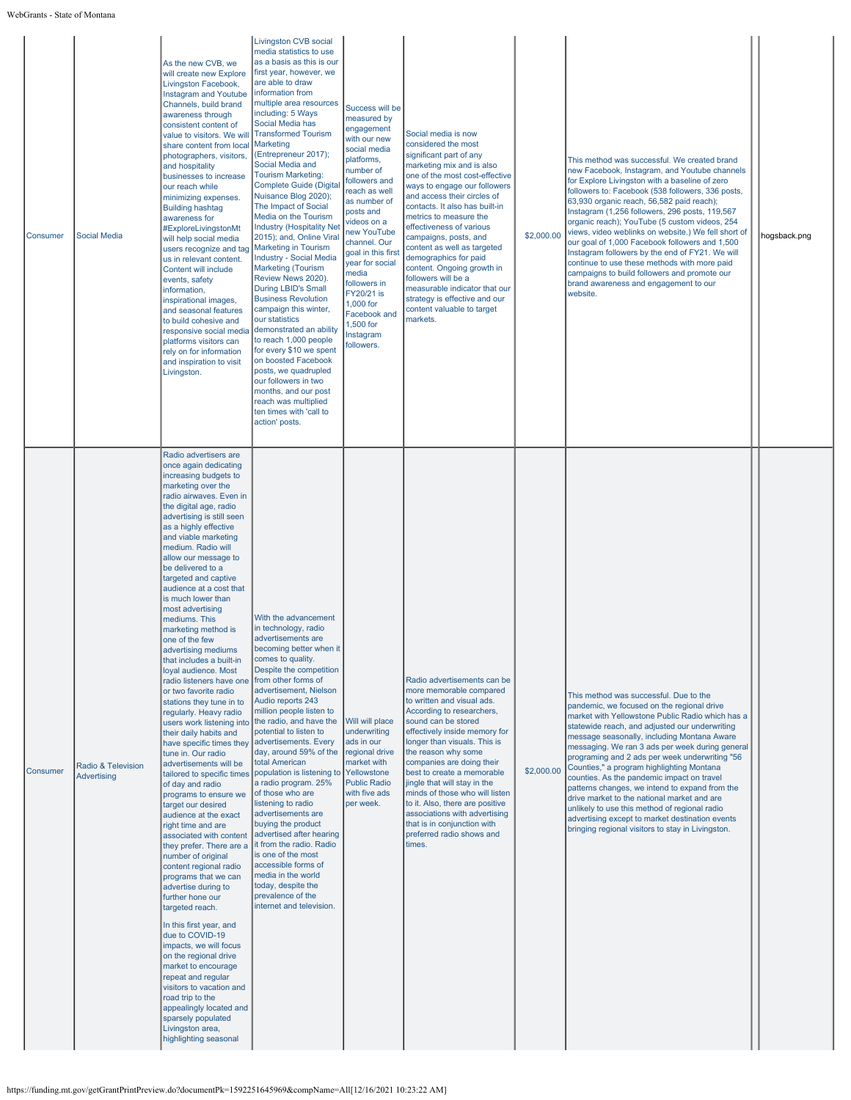WebGrants - State of Montana

| Consumer | <b>Social Media</b>                      | As the new CVB, we<br>will create new Explore<br>Livingston Facebook,<br><b>Instagram and Youtube</b><br>Channels, build brand<br>awareness through<br>consistent content of<br>value to visitors. We will<br>share content from local<br>photographers, visitors,<br>and hospitality<br>businesses to increase<br>our reach while<br>minimizing expenses.<br><b>Building hashtag</b><br>awareness for<br>#ExploreLivingstonMt<br>will help social media<br>users recognize and tag<br>us in relevant content.<br>Content will include<br>events, safety<br>information,<br>inspirational images,<br>and seasonal features<br>to build cohesive and<br>responsive social media<br>platforms visitors can<br>rely on for information<br>and inspiration to visit<br>Livingston.                                                                                                                                                                                                                                                                                                                                                                                                                                                                                                                                                                                                                                               | <b>Livingston CVB social</b><br>media statistics to use<br>as a basis as this is our<br>first year, however, we<br>are able to draw<br>information from<br>multiple area resources<br>including: 5 Ways<br>Social Media has<br><b>Transformed Tourism</b><br>Marketing<br>(Entrepreneur 2017);<br>Social Media and<br><b>Tourism Marketing:</b><br><b>Complete Guide (Digital</b><br>Nuisance Blog 2020);<br>The Impact of Social<br>Media on the Tourism<br><b>Industry (Hospitality Net</b><br>2015); and, Online Viral<br><b>Marketing in Tourism</b><br><b>Industry - Social Media</b><br><b>Marketing (Tourism</b><br>Review News 2020).<br>During LBID's Small<br><b>Business Revolution</b><br>campaign this winter,<br>our statistics<br>demonstrated an ability<br>to reach 1,000 people<br>for every \$10 we spent<br>on boosted Facebook<br>posts, we quadrupled<br>our followers in two<br>months, and our post<br>reach was multiplied<br>ten times with 'call to<br>action' posts. | Success will be<br>measured by<br>engagement<br>with our new<br>social media<br>platforms,<br>number of<br>followers and<br>reach as well<br>as number of<br>posts and<br>videos on a<br>new YouTube<br>channel. Our<br>goal in this first<br>year for social<br>media<br>followers in<br>FY20/21 is<br>1,000 for<br>Facebook and<br>1,500 for<br>Instagram<br>followers. | Social media is now<br>considered the most<br>significant part of any<br>marketing mix and is also<br>one of the most cost-effective<br>ways to engage our followers<br>and access their circles of<br>contacts. It also has built-in<br>metrics to measure the<br>effectiveness of various<br>campaigns, posts, and<br>content as well as targeted<br>demographics for paid<br>content. Ongoing growth in<br>followers will be a<br>measurable indicator that our<br>strategy is effective and our<br>content valuable to target<br>markets. | \$2,000.00 | This method was successful. We created brand<br>new Facebook, Instagram, and Youtube channels<br>for Explore Livingston with a baseline of zero<br>followers to: Facebook (538 followers, 336 posts,<br>63,930 organic reach, 56,582 paid reach);<br>Instagram (1,256 followers, 296 posts, 119,567<br>organic reach); YouTube (5 custom videos, 254<br>views, video weblinks on website.) We fell short of<br>our goal of 1,000 Facebook followers and 1,500<br>Instagram followers by the end of FY21. We will<br>continue to use these methods with more paid<br>campaigns to build followers and promote our<br>brand awareness and engagement to our<br>website.                               | hogsback.png |
|----------|------------------------------------------|------------------------------------------------------------------------------------------------------------------------------------------------------------------------------------------------------------------------------------------------------------------------------------------------------------------------------------------------------------------------------------------------------------------------------------------------------------------------------------------------------------------------------------------------------------------------------------------------------------------------------------------------------------------------------------------------------------------------------------------------------------------------------------------------------------------------------------------------------------------------------------------------------------------------------------------------------------------------------------------------------------------------------------------------------------------------------------------------------------------------------------------------------------------------------------------------------------------------------------------------------------------------------------------------------------------------------------------------------------------------------------------------------------------------------|--------------------------------------------------------------------------------------------------------------------------------------------------------------------------------------------------------------------------------------------------------------------------------------------------------------------------------------------------------------------------------------------------------------------------------------------------------------------------------------------------------------------------------------------------------------------------------------------------------------------------------------------------------------------------------------------------------------------------------------------------------------------------------------------------------------------------------------------------------------------------------------------------------------------------------------------------------------------------------------------------|---------------------------------------------------------------------------------------------------------------------------------------------------------------------------------------------------------------------------------------------------------------------------------------------------------------------------------------------------------------------------|-----------------------------------------------------------------------------------------------------------------------------------------------------------------------------------------------------------------------------------------------------------------------------------------------------------------------------------------------------------------------------------------------------------------------------------------------------------------------------------------------------------------------------------------------|------------|-----------------------------------------------------------------------------------------------------------------------------------------------------------------------------------------------------------------------------------------------------------------------------------------------------------------------------------------------------------------------------------------------------------------------------------------------------------------------------------------------------------------------------------------------------------------------------------------------------------------------------------------------------------------------------------------------------|--------------|
| Consumer | Radio & Television<br><b>Advertising</b> | Radio advertisers are<br>once again dedicating<br>increasing budgets to<br>marketing over the<br>radio airwaves. Even in<br>the digital age, radio<br>advertising is still seen<br>as a highly effective<br>and viable marketing<br>medium. Radio will<br>allow our message to<br>be delivered to a<br>targeted and captive<br>audience at a cost that<br>is much lower than<br>most advertising<br>mediums. This<br>marketing method is<br>one of the few<br>advertising mediums<br>that includes a built-in<br>loyal audience. Most<br>radio listeners have one<br>or two favorite radio<br>stations they tune in to<br>regularly. Heavy radio<br>users work listening into<br>their daily habits and<br>have specific times they<br>tune in. Our radio<br>advertisements will be<br>tailored to specific times<br>of day and radio<br>programs to ensure we<br>target our desired<br>audience at the exact<br>right time and are<br>associated with content<br>they prefer. There are a<br>number of original<br>content regional radio<br>programs that we can<br>advertise during to<br>further hone our<br>targeted reach.<br>In this first year, and<br>due to COVID-19<br>impacts, we will focus<br>on the regional drive<br>market to encourage<br>repeat and regular<br>visitors to vacation and<br>road trip to the<br>appealingly located and<br>sparsely populated<br>Livingston area,<br>highlighting seasonal | With the advancement<br>in technology, radio<br>advertisements are<br>becoming better when it  <br>comes to quality.<br>Despite the competition<br>from other forms of<br>advertisement, Nielson<br>Audio reports 243<br>million people listen to<br>the radio, and have the<br>potential to listen to<br>advertisements. Every<br>day, around 59% of the<br>total American<br>population is listening to<br>a radio program. 25%<br>of those who are<br>listening to radio<br>advertisements are<br>buying the product<br>advertised after hearing<br>it from the radio. Radio<br>is one of the most<br>accessible forms of<br>media in the world<br>today, despite the<br>prevalence of the<br>internet and television.                                                                                                                                                                                                                                                                        | Will will place<br>underwriting<br>ads in our<br>regional drive<br>market with<br>Yellowstone<br><b>Public Radio</b><br>with five ads<br>per week.                                                                                                                                                                                                                        | Radio advertisements can be<br>more memorable compared<br>to written and visual ads.<br>According to researchers,<br>sound can be stored<br>effectively inside memory for<br>longer than visuals. This is<br>the reason why some<br>companies are doing their<br>best to create a memorable<br>jingle that will stay in the<br>minds of those who will listen<br>to it. Also, there are positive<br>associations with advertising<br>that is in conjunction with<br>preferred radio shows and<br>times.                                       | \$2,000.00 | This method was successful. Due to the<br>pandemic, we focused on the regional drive<br>market with Yellowstone Public Radio which has a<br>statewide reach, and adjusted our underwriting<br>message seasonally, including Montana Aware<br>messaging. We ran 3 ads per week during general<br>programing and 2 ads per week underwriting "56<br>Counties," a program highlighting Montana<br>counties. As the pandemic impact on travel<br>patterns changes, we intend to expand from the<br>drive market to the national market and are<br>unlikely to use this method of regional radio<br>advertising except to market destination events<br>bringing regional visitors to stay in Livingston. |              |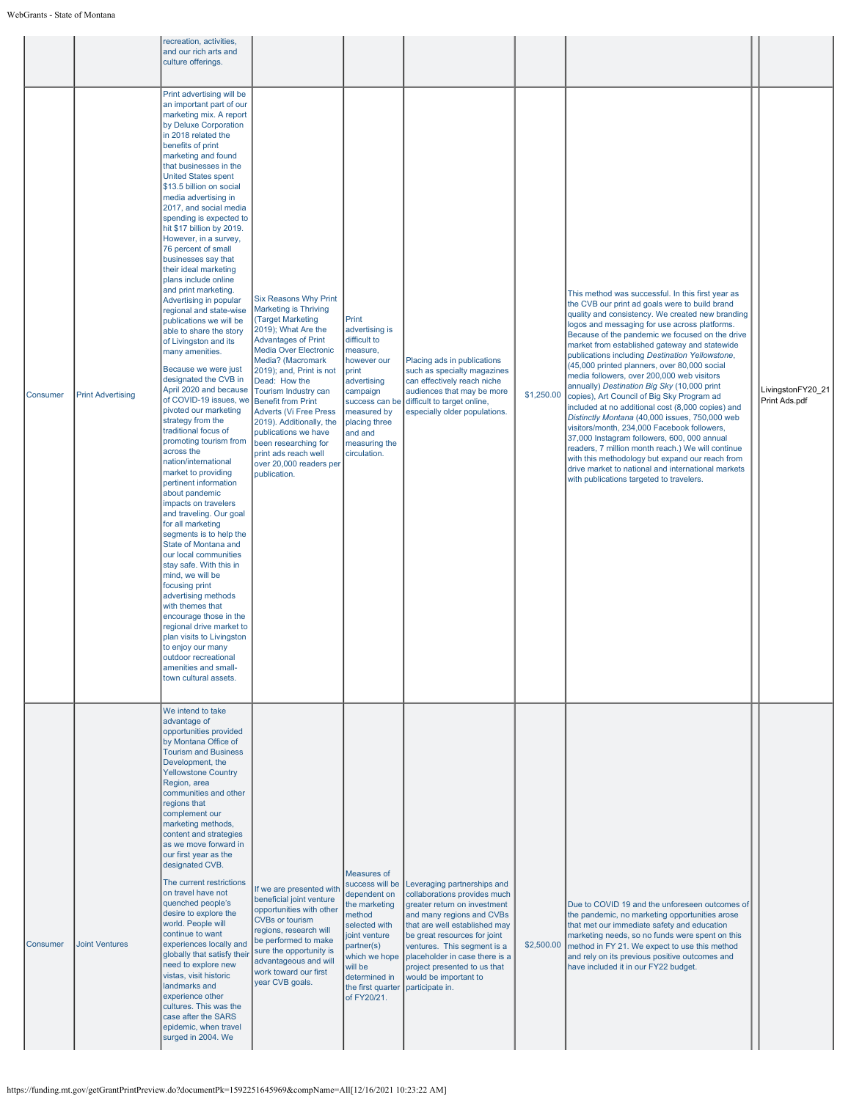|          |                          | recreation, activities,<br>and our rich arts and<br>culture offerings.                                                                                                                                                                                                                                                                                                                                                                                                                                                                                                                                                                                                                                                                                                                                                                                                                                                                                                                                                                                                                                                                                                                                                                                                                                                                                                                                                                          |                                                                                                                                                                                                                                                                                                                                                                                                                                                                               |                                                                                                                                                                                                            |                                                                                                                                                                                                                                                                                                                                        |            |                                                                                                                                                                                                                                                                                                                                                                                                                                                                                                                                                                                                                                                                                                                                                                                                                                                                                                                                                                           |                                    |
|----------|--------------------------|-------------------------------------------------------------------------------------------------------------------------------------------------------------------------------------------------------------------------------------------------------------------------------------------------------------------------------------------------------------------------------------------------------------------------------------------------------------------------------------------------------------------------------------------------------------------------------------------------------------------------------------------------------------------------------------------------------------------------------------------------------------------------------------------------------------------------------------------------------------------------------------------------------------------------------------------------------------------------------------------------------------------------------------------------------------------------------------------------------------------------------------------------------------------------------------------------------------------------------------------------------------------------------------------------------------------------------------------------------------------------------------------------------------------------------------------------|-------------------------------------------------------------------------------------------------------------------------------------------------------------------------------------------------------------------------------------------------------------------------------------------------------------------------------------------------------------------------------------------------------------------------------------------------------------------------------|------------------------------------------------------------------------------------------------------------------------------------------------------------------------------------------------------------|----------------------------------------------------------------------------------------------------------------------------------------------------------------------------------------------------------------------------------------------------------------------------------------------------------------------------------------|------------|---------------------------------------------------------------------------------------------------------------------------------------------------------------------------------------------------------------------------------------------------------------------------------------------------------------------------------------------------------------------------------------------------------------------------------------------------------------------------------------------------------------------------------------------------------------------------------------------------------------------------------------------------------------------------------------------------------------------------------------------------------------------------------------------------------------------------------------------------------------------------------------------------------------------------------------------------------------------------|------------------------------------|
| Consumer | <b>Print Advertising</b> | Print advertising will be<br>an important part of our<br>marketing mix. A report<br>by Deluxe Corporation<br>in 2018 related the<br>benefits of print<br>marketing and found<br>that businesses in the<br><b>United States spent</b><br>\$13.5 billion on social<br>media advertising in<br>2017, and social media<br>spending is expected to<br>hit \$17 billion by 2019.<br>However, in a survey,<br>76 percent of small<br>businesses say that<br>their ideal marketing<br>plans include online<br>and print marketing.<br>Advertising in popular<br>regional and state-wise<br>publications we will be<br>able to share the story<br>of Livingston and its<br>many amenities.<br>Because we were just<br>designated the CVB in<br>April 2020 and because<br>of COVID-19 issues, we<br>pivoted our marketing<br>strategy from the<br>traditional focus of<br>promoting tourism from<br>across the<br>nation/international<br>market to providing<br>pertinent information<br>about pandemic<br>impacts on travelers<br>and traveling. Our goal<br>for all marketing<br>segments is to help the<br>State of Montana and<br>our local communities<br>stay safe. With this in<br>mind, we will be<br>focusing print<br>advertising methods<br>with themes that<br>encourage those in the<br>regional drive market to<br>plan visits to Livingston<br>to enjoy our many<br>outdoor recreational<br>amenities and small-<br>town cultural assets. | <b>Six Reasons Why Print</b><br><b>Marketing is Thriving</b><br>(Target Marketing<br>2019); What Are the<br><b>Advantages of Print</b><br><b>Media Over Electronic</b><br>Media? (Macromark<br>2019); and, Print is not<br>Dead: How the<br>Tourism Industry can<br><b>Benefit from Print</b><br><b>Adverts (Vi Free Press</b><br>2019). Additionally, the<br>publications we have<br>been researching for<br>print ads reach well<br>over 20,000 readers per<br>publication. | Print<br>advertising is<br>difficult to<br>measure,<br>however our<br>print<br>advertising<br>campaign<br>success can be<br>measured by<br>placing three<br>and and<br>measuring the<br>circulation.       | Placing ads in publications<br>such as specialty magazines<br>can effectively reach niche<br>audiences that may be more<br>difficult to target online,<br>especially older populations.                                                                                                                                                | \$1,250.00 | This method was successful. In this first year as<br>the CVB our print ad goals were to build brand<br>quality and consistency. We created new branding<br>logos and messaging for use across platforms.<br>Because of the pandemic we focused on the drive<br>market from established gateway and statewide<br>publications including Destination Yellowstone,<br>(45,000 printed planners, over 80,000 social<br>media followers, over 200,000 web visitors<br>annually) Destination Big Sky (10,000 print<br>copies), Art Council of Big Sky Program ad<br>included at no additional cost (8,000 copies) and<br>Distinctly Montana (40,000 issues, 750,000 web<br>visitors/month, 234,000 Facebook followers,<br>37,000 Instagram followers, 600, 000 annual<br>readers, 7 million month reach.) We will continue<br>with this methodology but expand our reach from<br>drive market to national and international markets<br>with publications targeted to travelers. | LivingstonFY20_21<br>Print Ads.pdf |
| Consumer | <b>Joint Ventures</b>    | We intend to take<br>advantage of<br>opportunities provided<br>by Montana Office of<br><b>Tourism and Business</b><br>Development, the<br><b>Yellowstone Country</b><br>Region, area<br>communities and other<br>regions that<br>complement our<br>marketing methods,<br>content and strategies<br>as we move forward in<br>our first year as the<br>designated CVB.<br>The current restrictions<br>on travel have not<br>quenched people's<br>desire to explore the<br>world. People will<br>continue to want<br>experiences locally and<br>globally that satisfy their<br>need to explore new<br>vistas, visit historic<br>landmarks and<br>experience other<br>cultures. This was the<br>case after the SARS<br>epidemic, when travel<br>surged in 2004. We                                                                                                                                                                                                                                                                                                                                                                                                                                                                                                                                                                                                                                                                                  | If we are presented with<br>beneficial joint venture<br>opportunities with other<br><b>CVBs or tourism</b><br>regions, research will<br>be performed to make<br>sure the opportunity is<br>advantageous and will<br>work toward our first<br>year CVB goals.                                                                                                                                                                                                                  | Measures of<br>success will be<br>dependent on<br>the marketing<br>method<br>selected with<br>joint venture<br>partner(s)<br>which we hope<br>will be<br>determined in<br>the first quarter<br>of FY20/21. | Leveraging partnerships and<br>collaborations provides much<br>greater return on investment<br>and many regions and CVBs<br>that are well established may<br>be great resources for joint<br>ventures. This segment is a<br>placeholder in case there is a<br>project presented to us that<br>would be important to<br>participate in. | \$2,500.00 | Due to COVID 19 and the unforeseen outcomes of<br>the pandemic, no marketing opportunities arose<br>that met our immediate safety and education<br>marketing needs, so no funds were spent on this<br>method in FY 21. We expect to use this method<br>and rely on its previous positive outcomes and<br>have included it in our FY22 budget.                                                                                                                                                                                                                                                                                                                                                                                                                                                                                                                                                                                                                             |                                    |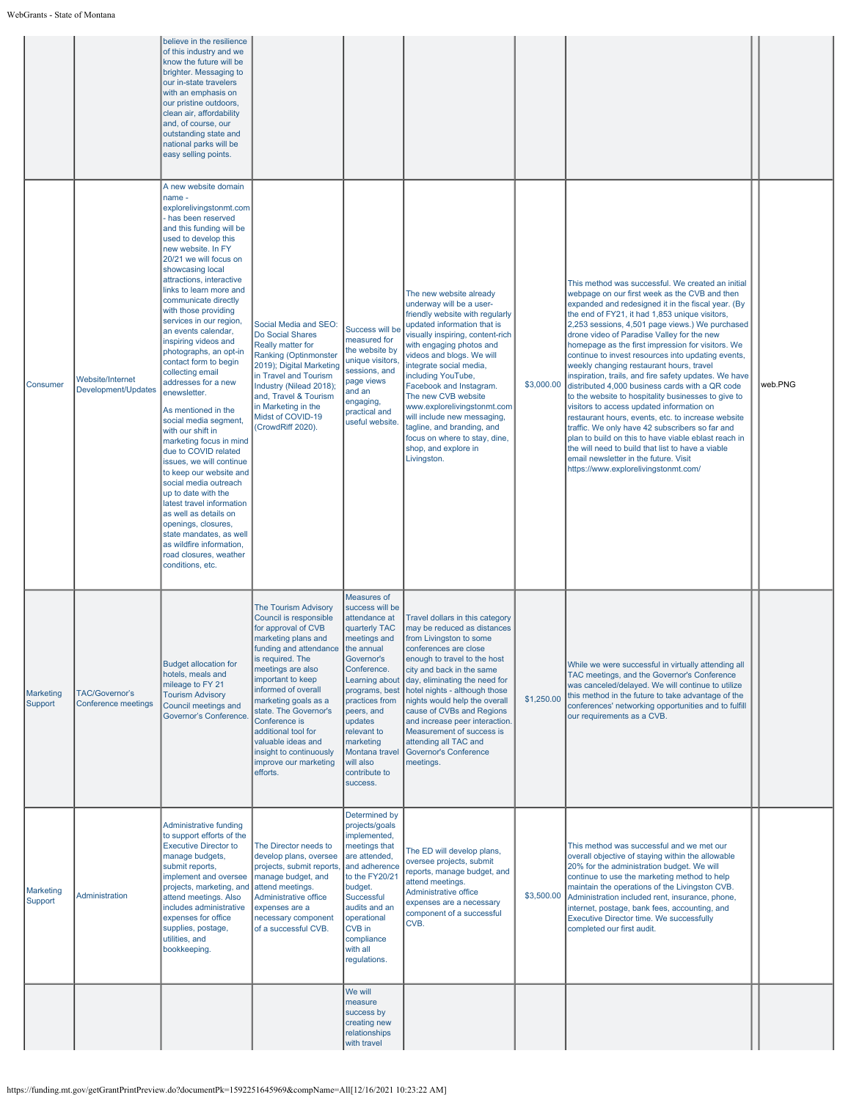|                      |                                              | believe in the resilience<br>of this industry and we<br>know the future will be<br>brighter. Messaging to<br>our in-state travelers<br>with an emphasis on<br>our pristine outdoors,<br>clean air, affordability<br>and, of course, our<br>outstanding state and<br>national parks will be<br>easy selling points.                                                                                                                                                                                                                                                                                                                                                                                                                                                                                                                                                                                                     |                                                                                                                                                                                                                                                                                                                                                                                                   |                                                                                                                                                                                                                                                                                                    |                                                                                                                                                                                                                                                                                                                                                                                                                                                                                           |            |                                                                                                                                                                                                                                                                                                                                                                                                                                                                                                                                                                                                                                                                                                                                                                                                                                                                                                                                                                                           |         |
|----------------------|----------------------------------------------|------------------------------------------------------------------------------------------------------------------------------------------------------------------------------------------------------------------------------------------------------------------------------------------------------------------------------------------------------------------------------------------------------------------------------------------------------------------------------------------------------------------------------------------------------------------------------------------------------------------------------------------------------------------------------------------------------------------------------------------------------------------------------------------------------------------------------------------------------------------------------------------------------------------------|---------------------------------------------------------------------------------------------------------------------------------------------------------------------------------------------------------------------------------------------------------------------------------------------------------------------------------------------------------------------------------------------------|----------------------------------------------------------------------------------------------------------------------------------------------------------------------------------------------------------------------------------------------------------------------------------------------------|-------------------------------------------------------------------------------------------------------------------------------------------------------------------------------------------------------------------------------------------------------------------------------------------------------------------------------------------------------------------------------------------------------------------------------------------------------------------------------------------|------------|-------------------------------------------------------------------------------------------------------------------------------------------------------------------------------------------------------------------------------------------------------------------------------------------------------------------------------------------------------------------------------------------------------------------------------------------------------------------------------------------------------------------------------------------------------------------------------------------------------------------------------------------------------------------------------------------------------------------------------------------------------------------------------------------------------------------------------------------------------------------------------------------------------------------------------------------------------------------------------------------|---------|
| Consumer             | Website/Internet<br>Development/Updates      | A new website domain<br>name -<br>explorelivingstonmt.com<br>has been reserved<br>and this funding will be<br>used to develop this<br>new website. In FY<br>20/21 we will focus on<br>showcasing local<br>attractions, interactive<br>links to learn more and<br>communicate directly<br>with those providing<br>services in our region,<br>an events calendar,<br>inspiring videos and<br>photographs, an opt-in<br>contact form to begin<br>collecting email<br>addresses for a new<br>enewsletter.<br>As mentioned in the<br>social media segment,<br>with our shift in<br>marketing focus in mind<br>due to COVID related<br>issues, we will continue<br>to keep our website and<br>social media outreach<br>up to date with the<br>latest travel information<br>as well as details on<br>openings, closures,<br>state mandates, as well<br>as wildfire information,<br>road closures, weather<br>conditions, etc. | Social Media and SEO:<br>Do Social Shares<br>Really matter for<br><b>Ranking (Optinmonster</b><br>2019); Digital Marketing<br>in Travel and Tourism<br>Industry (Nilead 2018);<br>and, Travel & Tourism<br>in Marketing in the<br>Midst of COVID-19<br>(CrowdRiff 2020).                                                                                                                          | Success will be<br>measured for<br>the website by<br>unique visitors,<br>sessions, and<br>page views<br>and an<br>engaging,<br>practical and<br>useful website.                                                                                                                                    | The new website already<br>underway will be a user-<br>friendly website with regularly<br>updated information that is<br>visually inspiring, content-rich<br>with engaging photos and<br>videos and blogs. We will<br>integrate social media,<br>including YouTube,<br>Facebook and Instagram.<br>The new CVB website<br>www.explorelivingstonmt.com<br>will include new messaging,<br>tagline, and branding, and<br>focus on where to stay, dine,<br>shop, and explore in<br>Livingston. | \$3,000.00 | This method was successful. We created an initial<br>webpage on our first week as the CVB and then<br>expanded and redesigned it in the fiscal year. (By<br>the end of FY21, it had 1,853 unique visitors,<br>2,253 sessions, 4,501 page views.) We purchased<br>drone video of Paradise Valley for the new<br>homepage as the first impression for visitors. We<br>continue to invest resources into updating events,<br>weekly changing restaurant hours, travel<br>inspiration, trails, and fire safety updates. We have<br>distributed 4,000 business cards with a QR code<br>to the website to hospitality businesses to give to<br>visitors to access updated information on<br>restaurant hours, events, etc. to increase website<br>traffic. We only have 42 subscribers so far and<br>plan to build on this to have viable eblast reach in<br>the will need to build that list to have a viable<br>email newsletter in the future. Visit<br>https://www.explorelivingstonmt.com/ | web.PNG |
| Marketing<br>Support | <b>TAC/Governor's</b><br>Conference meetings | <b>Budget allocation for</b><br>hotels, meals and<br>mileage to FY 21<br><b>Tourism Advisory</b><br>Council meetings and<br>Governor's Conference.                                                                                                                                                                                                                                                                                                                                                                                                                                                                                                                                                                                                                                                                                                                                                                     | <b>The Tourism Advisory</b><br>Council is responsible<br>for approval of CVB<br>marketing plans and<br>funding and attendance<br>is required. The<br>meetings are also<br>important to keep<br>informed of overall<br>marketing goals as a<br>state. The Governor's<br>Conference is<br>additional tool for<br>valuable ideas and<br>insight to continuously<br>improve our marketing<br>efforts. | Measures of<br>success will be<br>attendance at<br>quarterly TAC<br>meetings and<br>the annual<br>overnor sر<br>Conference.<br>Learning about<br>programs, best<br>practices from<br>peers, and<br>updates<br>relevant to<br>marketing<br>Montana travel<br>will also<br>contribute to<br>success. | Travel dollars in this category<br>may be reduced as distances<br>from Livingston to some<br>conferences are close<br>enough to travel to the host<br>city and back in the same<br>day, eliminating the need for<br>hotel nights - although those<br>nights would help the overall<br>cause of CVBs and Regions<br>and increase peer interaction.<br>Measurement of success is<br>attending all TAC and<br><b>Governor's Conference</b><br>meetings.                                      | \$1,250.00 | While we were successful in virtually attending all<br>TAC meetings, and the Governor's Conference<br>was canceled/delayed. We will continue to utilize<br>this method in the future to take advantage of the<br>conferences' networking opportunities and to fulfill<br>our requirements as a CVB.                                                                                                                                                                                                                                                                                                                                                                                                                                                                                                                                                                                                                                                                                       |         |
| Marketing<br>Support | Administration                               | <b>Administrative funding</b><br>to support efforts of the<br><b>Executive Director to</b><br>manage budgets,<br>submit reports,<br>implement and oversee<br>projects, marketing, and<br>attend meetings. Also<br>includes administrative<br>expenses for office<br>supplies, postage,<br>utilities, and<br>bookkeeping.                                                                                                                                                                                                                                                                                                                                                                                                                                                                                                                                                                                               | The Director needs to<br>develop plans, oversee<br>projects, submit reports<br>manage budget, and<br>attend meetings.<br>Administrative office<br>expenses are a<br>necessary component<br>of a successful CVB.                                                                                                                                                                                   | Determined by<br>projects/goals<br>implemented,<br>meetings that<br>are attended,<br>and adherence<br>to the FY20/21<br>budget.<br>Successful<br>audits and an<br>operational<br>CVB in<br>compliance<br>with all<br>regulations.                                                                  | The ED will develop plans,<br>oversee projects, submit<br>reports, manage budget, and<br>attend meetings.<br>Administrative office<br>expenses are a necessary<br>component of a successful<br>CVB.                                                                                                                                                                                                                                                                                       | \$3,500.00 | This method was successful and we met our<br>overall objective of staying within the allowable<br>20% for the administration budget. We will<br>continue to use the marketing method to help<br>maintain the operations of the Livingston CVB.<br>Administration included rent, insurance, phone,<br>internet, postage, bank fees, accounting, and<br>Executive Director time. We successfully<br>completed our first audit.                                                                                                                                                                                                                                                                                                                                                                                                                                                                                                                                                              |         |
|                      |                                              |                                                                                                                                                                                                                                                                                                                                                                                                                                                                                                                                                                                                                                                                                                                                                                                                                                                                                                                        |                                                                                                                                                                                                                                                                                                                                                                                                   | We will<br>measure<br>success by<br>creating new<br>relationships<br>with travel                                                                                                                                                                                                                   |                                                                                                                                                                                                                                                                                                                                                                                                                                                                                           |            |                                                                                                                                                                                                                                                                                                                                                                                                                                                                                                                                                                                                                                                                                                                                                                                                                                                                                                                                                                                           |         |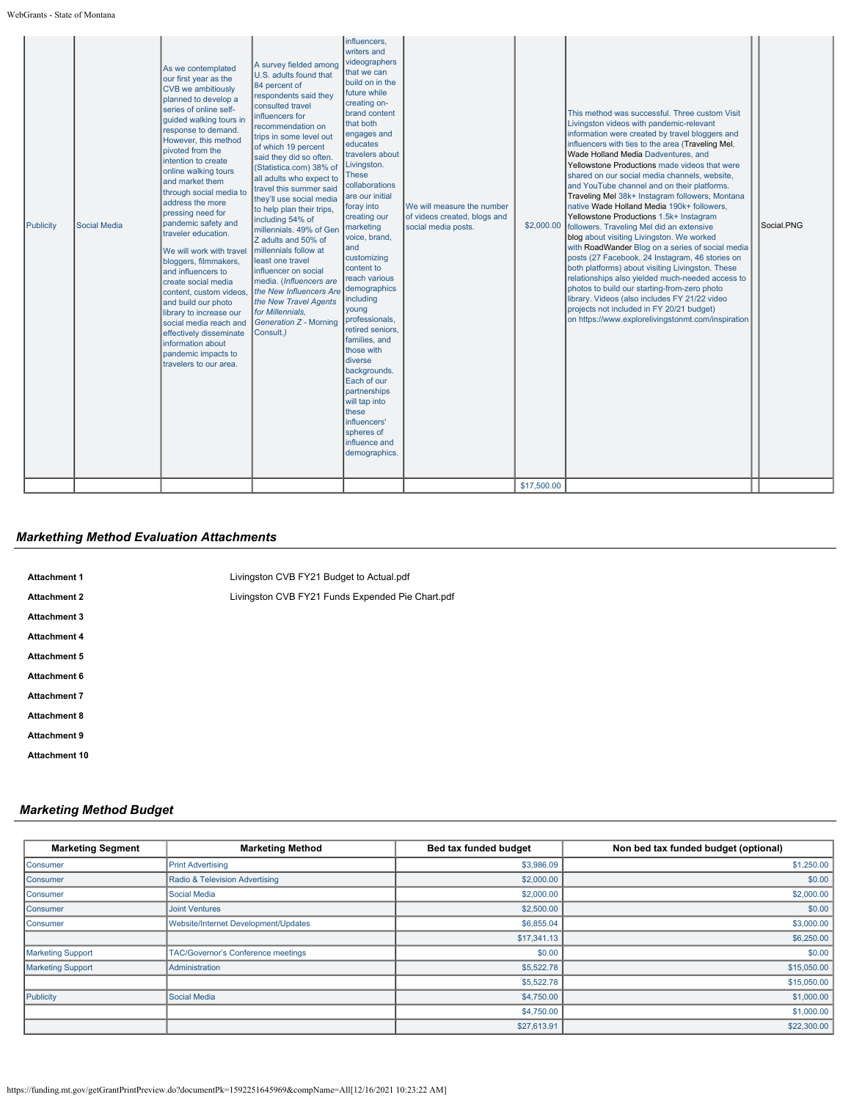WebGrants - State of Montana

# *Markething Method Evaluation Attachments*

| <b>Attachment 1</b>  | Livingston CVB FY21 Budget to Actual.pdf         |
|----------------------|--------------------------------------------------|
| <b>Attachment 2</b>  | Livingston CVB FY21 Funds Expended Pie Chart.pdf |
| <b>Attachment 3</b>  |                                                  |
| <b>Attachment 4</b>  |                                                  |
| <b>Attachment 5</b>  |                                                  |
| Attachment 6         |                                                  |
| <b>Attachment 7</b>  |                                                  |
| <b>Attachment 8</b>  |                                                  |
| <b>Attachment 9</b>  |                                                  |
| <b>Attachment 10</b> |                                                  |

# *Marketing Method Budget*

| <b>Marketing Segment</b> | <b>Marketing Method</b>              | Bed tax funded budget | Non bed tax funded budget (optional) |
|--------------------------|--------------------------------------|-----------------------|--------------------------------------|
| Consumer                 | <b>Print Advertising</b>             | \$3,986.09            | \$1,250.00                           |
| Consumer                 | Radio & Television Advertising       | \$2,000.00            | \$0.00                               |
| Consumer                 | Social Media                         | \$2,000.00            | \$2,000.00                           |
| Consumer                 | <b>Joint Ventures</b>                | \$2,500.00            | \$0.00                               |
| Consumer                 | Website/Internet Development/Updates | \$6,855.04            | \$3,000.00                           |
|                          |                                      | \$17,341.13           | \$6,250.00                           |
| <b>Marketing Support</b> | TAC/Governor's Conference meetings   | \$0.00                | \$0.00                               |
| <b>Marketing Support</b> | Administration                       | \$5,522.78            | \$15,050.00                          |
|                          |                                      | \$5,522.78            | \$15,050.00                          |
| Publicity                | Social Media                         | \$4,750.00            | \$1,000.00                           |
|                          |                                      | \$4,750.00            | \$1,000.00                           |
|                          |                                      | \$27,613.91           | \$22,300.00                          |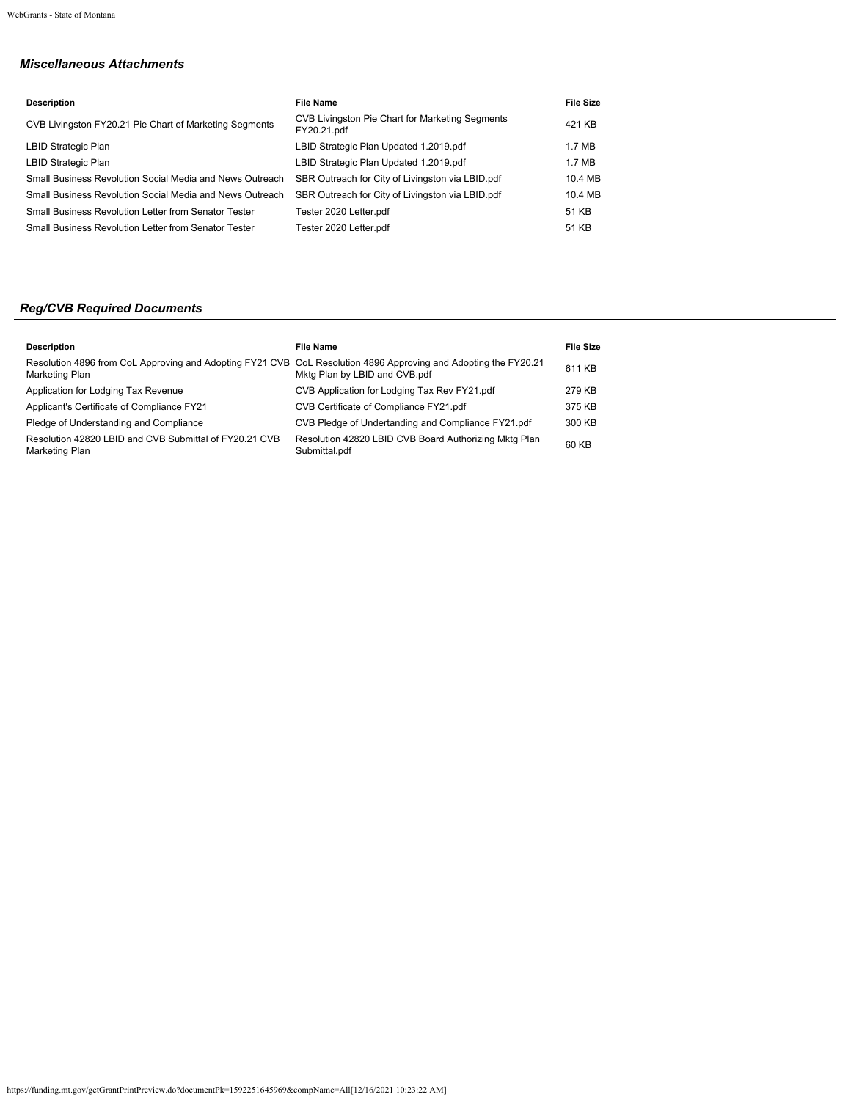# *Miscellaneous Attachments*

| <b>File Name</b>                                               | <b>File Size</b> |
|----------------------------------------------------------------|------------------|
| CVB Livingston Pie Chart for Marketing Segments<br>FY20.21.pdf | 421 KB           |
| LBID Strategic Plan Updated 1.2019.pdf                         | 1.7 MB           |
| LBID Strategic Plan Updated 1.2019.pdf                         | 1.7 MB           |
| SBR Outreach for City of Livingston via LBID.pdf               | 10.4 MB          |
| SBR Outreach for City of Livingston via LBID.pdf               | 10.4 MB          |
| Tester 2020 Letter.pdf                                         | 51 KB            |
| Tester 2020 Letter.pdf                                         | 51 KB            |
|                                                                |                  |

# *Reg/CVB Required Documents*

| <b>Description</b>                                                                                                                | File Name                                                              | <b>File Size</b> |
|-----------------------------------------------------------------------------------------------------------------------------------|------------------------------------------------------------------------|------------------|
| Resolution 4896 from CoL Approving and Adopting FY21 CVB CoL Resolution 4896 Approving and Adopting the FY20.21<br>Marketing Plan | Mktg Plan by LBID and CVB.pdf                                          | 611 KB           |
| Application for Lodging Tax Revenue                                                                                               | CVB Application for Lodging Tax Rev FY21.pdf                           | 279 KB           |
| Applicant's Certificate of Compliance FY21                                                                                        | CVB Certificate of Compliance FY21.pdf                                 | 375 KB           |
| Pledge of Understanding and Compliance                                                                                            | CVB Pledge of Undertanding and Compliance FY21.pdf                     | 300 KB           |
| Resolution 42820 LBID and CVB Submittal of FY20.21 CVB<br>Marketing Plan                                                          | Resolution 42820 LBID CVB Board Authorizing Mktg Plan<br>Submittal.pdf | 60 KB            |